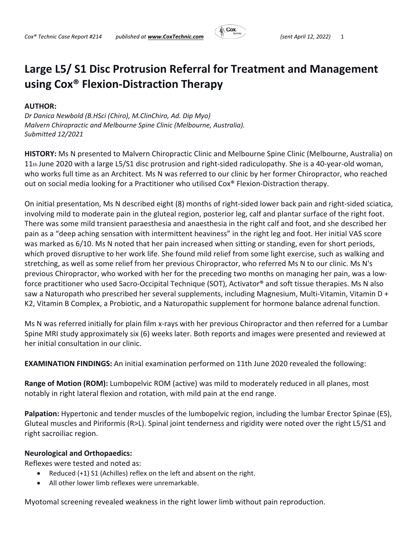

## **Large L5/ S1 Disc Protrusion Referral for Treatment and Management using Cox® Flexion‐Distraction Therapy**

## **AUTHOR:**

*Dr Danica Newbold (B.HSci (Chiro), M.ClinChiro, Ad. Dip Myo) Malvern Chiropractic and Melbourne Spine Clinic (Melbourne, Australia). Submitted 12/2021*

**HISTORY:** Ms N presented to Malvern Chiropractic Clinic and Melbourne Spine Clinic (Melbourne, Australia) on 11th June 2020 with a large L5/S1 disc protrusion and right‐sided radiculopathy. She is a 40‐year‐old woman, who works full time as an Architect. Ms N was referred to our clinic by her former Chiropractor, who reached out on social media looking for a Practitioner who utilised Cox® Flexion‐Distraction therapy.

On initial presentation, Ms N described eight (8) months of right‐sided lower back pain and right‐sided sciatica, involving mild to moderate pain in the gluteal region, posterior leg, calf and plantar surface of the right foot. There was some mild transient paraesthesia and anaesthesia in the right calf and foot, and she described her pain as a "deep aching sensation with intermittent heaviness" in the right leg and foot. Her initial VAS score was marked as 6/10. Ms N noted that her pain increased when sitting or standing, even for short periods, which proved disruptive to her work life. She found mild relief from some light exercise, such as walking and stretching, as well as some relief from her previous Chiropractor, who referred Ms N to our clinic. Ms N's previous Chiropractor, who worked with her for the preceding two months on managing her pain, was a low‐ force practitioner who used Sacro-Occipital Technique (SOT), Activator<sup>®</sup> and soft tissue therapies. Ms N also saw a Naturopath who prescribed her several supplements, including Magnesium, Multi-Vitamin, Vitamin D + K2, Vitamin B Complex, a Probiotic, and a Naturopathic supplement for hormone balance adrenal function.

Ms N was referred initially for plain film x-rays with her previous Chiropractor and then referred for a Lumbar Spine MRI study approximately six (6) weeks later. Both reports and images were presented and reviewed at her initial consultation in our clinic.

**EXAMINATION FINDINGS:** An initial examination performed on 11th June 2020 revealed the following:

**Range of Motion (ROM):** Lumbopelvic ROM (active) was mild to moderately reduced in all planes, most notably in right lateral flexion and rotation, with mild pain at the end range.

**Palpation:** Hypertonic and tender muscles of the lumbopelvic region, including the lumbar Erector Spinae (ES), Gluteal muscles and Piriformis (R>L). Spinal joint tenderness and rigidity were noted over the right L5/S1 and right sacroiliac region.

## **Neurological and Orthopaedics:**

Reflexes were tested and noted as:

- Reduced (+1) S1 (Achilles) reflex on the left and absent on the right.
- All other lower limb reflexes were unremarkable.

Myotomal screening revealed weakness in the right lower limb without pain reproduction.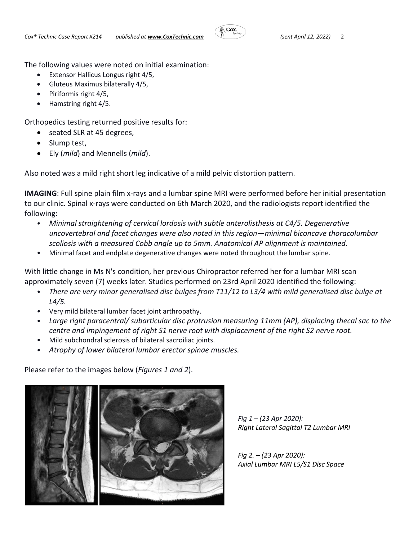

The following values were noted on initial examination:

- Extensor Hallicus Longus right 4/5,
- Gluteus Maximus bilaterally 4/5,
- Piriformis right 4/5,
- Hamstring right 4/5.

Orthopedics testing returned positive results for:

- seated SLR at 45 degrees,
- Slump test,
- Ely (*mild*) and Mennells (*mild*).

Also noted was a mild right short leg indicative of a mild pelvic distortion pattern.

**IMAGING**: Full spine plain film x-rays and a lumbar spine MRI were performed before her initial presentation to our clinic. Spinal x‐rays were conducted on 6th March 2020, and the radiologists report identified the following:

- *Minimal straightening of cervical lordosis with subtle anterolisthesis at C4/5. Degenerative uncovertebral and facet changes were also noted in this region—minimal biconcave thoracolumbar scoliosis with a measured Cobb angle up to 5mm. Anatomical AP alignment is maintained.*
- Minimal facet and endplate degenerative changes were noted throughout the lumbar spine.

With little change in Ms N's condition, her previous Chiropractor referred her for a lumbar MRI scan approximately seven (7) weeks later. Studies performed on 23rd April 2020 identified the following:

- *There are very minor generalised disc bulges from T11/12 to L3/4 with mild generalised disc bulge at L4/5.*
- Very mild bilateral lumbar facet joint arthropathy.
- *Large right paracentral/ subarticular disc protrusion measuring 11mm (AP), displacing thecal sac to the centre and impingement of right S1 nerve root with displacement of the right S2 nerve root.*
- Mild subchondral sclerosis of bilateral sacroiliac joints.
- *Atrophy of lower bilateral lumbar erector spinae muscles.*

Please refer to the images below (*Figures 1 and 2*).



*Fig 1 – (23 Apr 2020): Right Lateral Sagittal T2 Lumbar MRI* 

*Fig 2. – (23 Apr 2020): Axial Lumbar MRI L5/S1 Disc Space*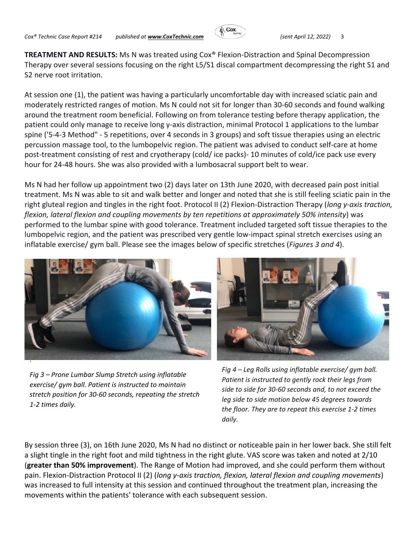

**TREATMENT AND RESULTS:** Ms N was treated using Cox® Flexion‐Distraction and Spinal Decompression Therapy over several sessions focusing on the right L5/S1 discal compartment decompressing the right S1 and S2 nerve root irritation.

At session one (1), the patient was having a particularly uncomfortable day with increased sciatic pain and moderately restricted ranges of motion. Ms N could not sit for longer than 30‐60 seconds and found walking around the treatment room beneficial. Following on from tolerance testing before therapy application, the patient could only manage to receive long y-axis distraction, minimal Protocol 1 applications to the lumbar spine ('5‐4‐3 Method" ‐ 5 repetitions, over 4 seconds in 3 groups) and soft tissue therapies using an electric percussion massage tool, to the lumbopelvic region. The patient was advised to conduct self‐care at home post-treatment consisting of rest and cryotherapy (cold/ ice packs) - 10 minutes of cold/ice pack use every hour for 24‐48 hours. She was also provided with a lumbosacral support belt to wear.

Ms N had her follow up appointment two (2) days later on 13th June 2020, with decreased pain post initial treatment. Ms N was able to sit and walk better and longer and noted that she is still feeling sciatic pain in the right gluteal region and tingles in the right foot. Protocol II (2) Flexion‐Distraction Therapy (*long y‐axis traction, flexion, lateral flexion and coupling movements by ten repetitions at approximately 50% intensity*) was performed to the lumbar spine with good tolerance. Treatment included targeted soft tissue therapies to the lumbopelvic region, and the patient was prescribed very gentle low-impact spinal stretch exercises using an inflatable exercise/ gym ball. Please see the images below of specific stretches (*Figures 3 and 4*).



*Fig 3 – Prone Lumbar Slump Stretch using inflatable exercise/ gym ball. Patient is instructed to maintain stretch position for 30‐60 seconds, repeating the stretch 1‐2 times daily.* 



*Fig 4 – Leg Rolls using inflatable exercise/ gym ball. Patient is instructed to gently rock their legs from side to side for 30‐60 seconds and, to not exceed the leg side to side motion below 45 degrees towards the floor. They are to repeat this exercise 1‐2 times daily.*

By session three (3), on 16th June 2020, Ms N had no distinct or noticeable pain in her lower back. She still felt a slight tingle in the right foot and mild tightness in the right glute. VAS score was taken and noted at 2/10 (**greater than 50% improvement**). The Range of Motion had improved, and she could perform them without pain. Flexion‐Distraction Protocol II (2) (*long y‐axis traction, flexion, lateral flexion and coupling movements*) was increased to full intensity at this session and continued throughout the treatment plan, increasing the movements within the patients' tolerance with each subsequent session.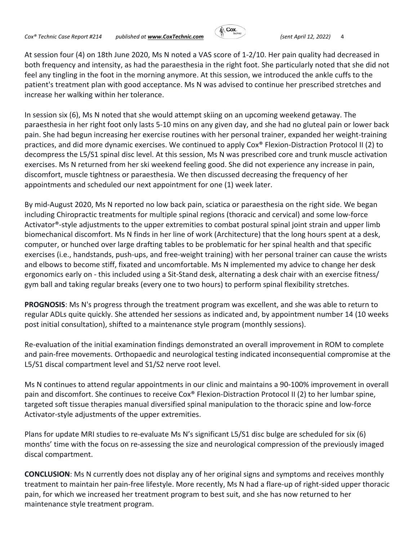

At session four (4) on 18th June 2020, Ms N noted a VAS score of 1‐2/10. Her pain quality had decreased in both frequency and intensity, as had the paraesthesia in the right foot. She particularly noted that she did not feel any tingling in the foot in the morning anymore. At this session, we introduced the ankle cuffs to the patient's treatment plan with good acceptance. Ms N was advised to continue her prescribed stretches and increase her walking within her tolerance.

In session six (6), Ms N noted that she would attempt skiing on an upcoming weekend getaway. The paraesthesia in her right foot only lasts 5‐10 mins on any given day, and she had no gluteal pain or lower back pain. She had begun increasing her exercise routines with her personal trainer, expanded her weight-training practices, and did more dynamic exercises. We continued to apply Cox® Flexion‐Distraction Protocol II (2) to decompress the L5/S1 spinal disc level. At this session, Ms N was prescribed core and trunk muscle activation exercises. Ms N returned from her ski weekend feeling good. She did not experience any increase in pain, discomfort, muscle tightness or paraesthesia. We then discussed decreasing the frequency of her appointments and scheduled our next appointment for one (1) week later.

By mid‐August 2020, Ms N reported no low back pain, sciatica or paraesthesia on the right side. We began including Chiropractic treatments for multiple spinal regions (thoracic and cervical) and some low‐force Activator<sup>®</sup>-style adjustments to the upper extremities to combat postural spinal joint strain and upper limb biomechanical discomfort. Ms N finds in her line of work (Architecture) that the long hours spent at a desk, computer, or hunched over large drafting tables to be problematic for her spinal health and that specific exercises (i.e., handstands, push-ups, and free-weight training) with her personal trainer can cause the wrists and elbows to become stiff, fixated and uncomfortable. Ms N implemented my advice to change her desk ergonomics early on ‐ this included using a Sit‐Stand desk, alternating a desk chair with an exercise fitness/ gym ball and taking regular breaks (every one to two hours) to perform spinal flexibility stretches.

**PROGNOSIS**: Ms N's progress through the treatment program was excellent, and she was able to return to regular ADLs quite quickly. She attended her sessions as indicated and, by appointment number 14 (10 weeks post initial consultation), shifted to a maintenance style program (monthly sessions).

Re-evaluation of the initial examination findings demonstrated an overall improvement in ROM to complete and pain‐free movements. Orthopaedic and neurological testing indicated inconsequential compromise at the L5/S1 discal compartment level and S1/S2 nerve root level.

Ms N continues to attend regular appointments in our clinic and maintains a 90‐100% improvement in overall pain and discomfort. She continues to receive Cox<sup>®</sup> Flexion-Distraction Protocol II (2) to her lumbar spine, targeted soft tissue therapies manual diversified spinal manipulation to the thoracic spine and low‐force Activator‐style adjustments of the upper extremities.

Plans for update MRI studies to re‐evaluate Ms N's significant L5/S1 disc bulge are scheduled for six (6) months' time with the focus on re‐assessing the size and neurological compression of the previously imaged discal compartment.

**CONCLUSION**: Ms N currently does not display any of her original signs and symptoms and receives monthly treatment to maintain her pain‐free lifestyle. More recently, Ms N had a flare‐up of right‐sided upper thoracic pain, for which we increased her treatment program to best suit, and she has now returned to her maintenance style treatment program.